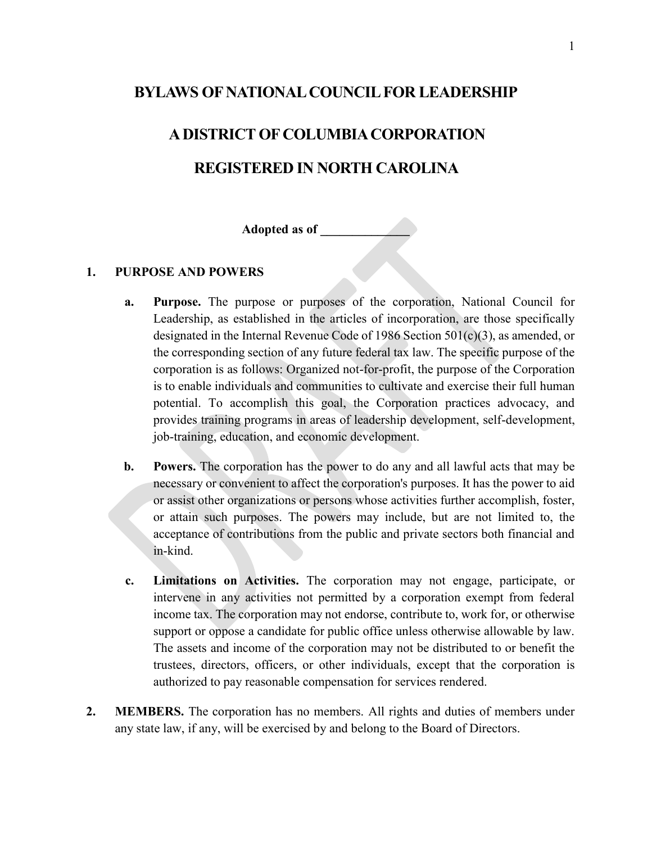#### **BYLAWS OF NATIONAL COUNCIL FOR LEADERSHIP**

# **A DISTRICT OF COLUMBIA CORPORATION REGISTERED IN NORTH CAROLINA**

**Adopted as of \_\_\_\_\_\_\_\_\_\_\_\_\_\_**

#### **1. PURPOSE AND POWERS**

- **a. Purpose.** The purpose or purposes of the corporation, National Council for Leadership, as established in the articles of incorporation, are those specifically designated in the Internal Revenue Code of 1986 Section 501(c)(3), as amended, or the corresponding section of any future federal tax law. The specific purpose of the corporation is as follows: Organized not-for-profit, the purpose of the Corporation is to enable individuals and communities to cultivate and exercise their full human potential. To accomplish this goal, the Corporation practices advocacy, and provides training programs in areas of leadership development, self-development, job-training, education, and economic development.
- **b. Powers.** The corporation has the power to do any and all lawful acts that may be necessary or convenient to affect the corporation's purposes. It has the power to aid or assist other organizations or persons whose activities further accomplish, foster, or attain such purposes. The powers may include, but are not limited to, the acceptance of contributions from the public and private sectors both financial and in-kind.
- **c. Limitations on Activities.** The corporation may not engage, participate, or intervene in any activities not permitted by a corporation exempt from federal income tax. The corporation may not endorse, contribute to, work for, or otherwise support or oppose a candidate for public office unless otherwise allowable by law. The assets and income of the corporation may not be distributed to or benefit the trustees, directors, officers, or other individuals, except that the corporation is authorized to pay reasonable compensation for services rendered.
- **2. MEMBERS.** The corporation has no members. All rights and duties of members under any state law, if any, will be exercised by and belong to the Board of Directors.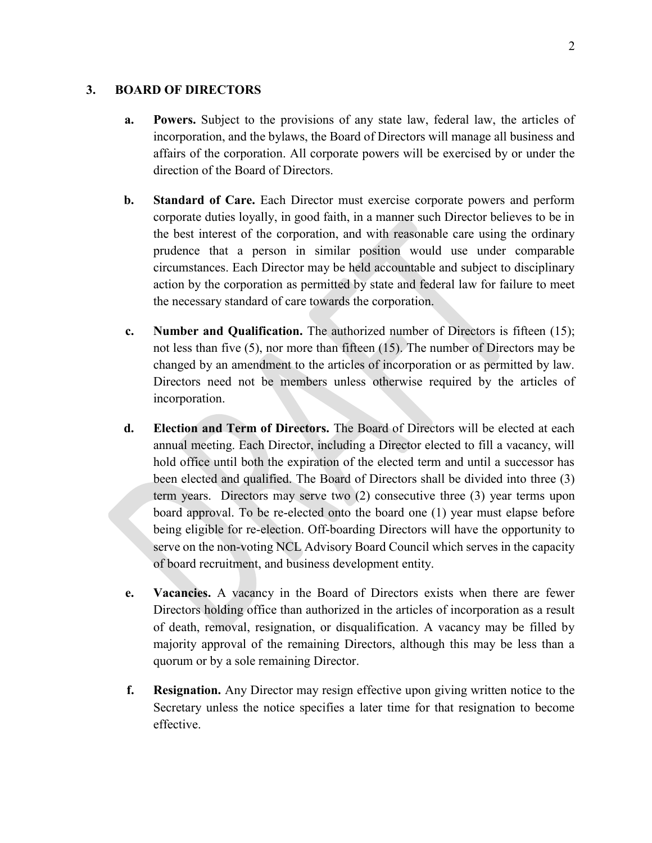#### **3. BOARD OF DIRECTORS**

- **a. Powers.** Subject to the provisions of any state law, federal law, the articles of incorporation, and the bylaws, the Board of Directors will manage all business and affairs of the corporation. All corporate powers will be exercised by or under the direction of the Board of Directors.
- **b. Standard of Care.** Each Director must exercise corporate powers and perform corporate duties loyally, in good faith, in a manner such Director believes to be in the best interest of the corporation, and with reasonable care using the ordinary prudence that a person in similar position would use under comparable circumstances. Each Director may be held accountable and subject to disciplinary action by the corporation as permitted by state and federal law for failure to meet the necessary standard of care towards the corporation.
- **c. Number and Qualification.** The authorized number of Directors is fifteen (15); not less than five (5), nor more than fifteen (15). The number of Directors may be changed by an amendment to the articles of incorporation or as permitted by law. Directors need not be members unless otherwise required by the articles of incorporation.
- **d. Election and Term of Directors.** The Board of Directors will be elected at each annual meeting. Each Director, including a Director elected to fill a vacancy, will hold office until both the expiration of the elected term and until a successor has been elected and qualified. The Board of Directors shall be divided into three (3) term years. Directors may serve two (2) consecutive three (3) year terms upon board approval. To be re-elected onto the board one (1) year must elapse before being eligible for re-election. Off-boarding Directors will have the opportunity to serve on the non-voting NCL Advisory Board Council which serves in the capacity of board recruitment, and business development entity.
- **e. Vacancies.** A vacancy in the Board of Directors exists when there are fewer Directors holding office than authorized in the articles of incorporation as a result of death, removal, resignation, or disqualification. A vacancy may be filled by majority approval of the remaining Directors, although this may be less than a quorum or by a sole remaining Director.
- **f. Resignation.** Any Director may resign effective upon giving written notice to the Secretary unless the notice specifies a later time for that resignation to become effective.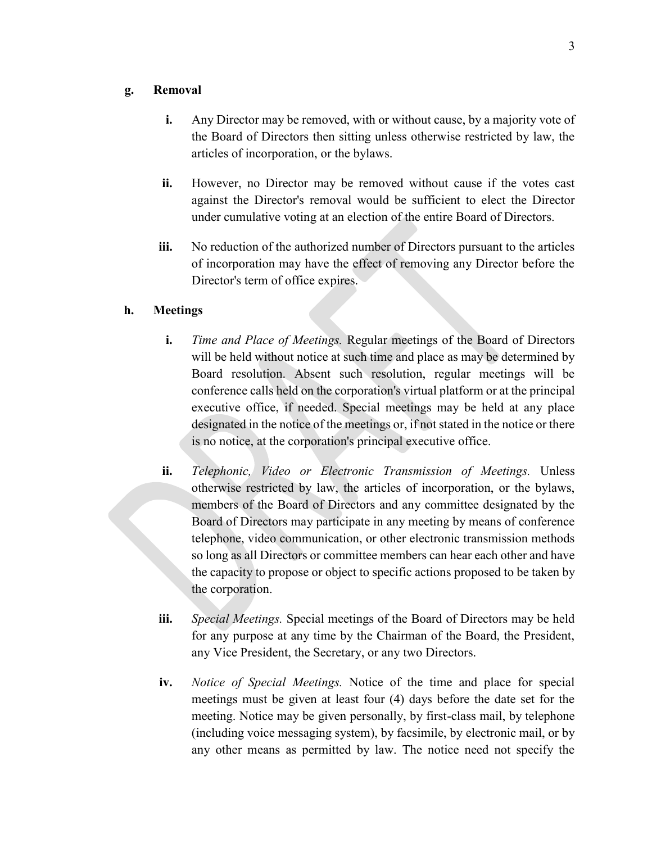#### **g. Removal**

- **i.** Any Director may be removed, with or without cause, by a majority vote of the Board of Directors then sitting unless otherwise restricted by law, the articles of incorporation, or the bylaws.
- **ii.** However, no Director may be removed without cause if the votes cast against the Director's removal would be sufficient to elect the Director under cumulative voting at an election of the entire Board of Directors.
- **iii.** No reduction of the authorized number of Directors pursuant to the articles of incorporation may have the effect of removing any Director before the Director's term of office expires.

#### **h. Meetings**

- **i.** *Time and Place of Meetings.* Regular meetings of the Board of Directors will be held without notice at such time and place as may be determined by Board resolution. Absent such resolution, regular meetings will be conference calls held on the corporation's virtual platform or at the principal executive office, if needed. Special meetings may be held at any place designated in the notice of the meetings or, if not stated in the notice or there is no notice, at the corporation's principal executive office.
- **ii.** *Telephonic, Video or Electronic Transmission of Meetings.* Unless otherwise restricted by law, the articles of incorporation, or the bylaws, members of the Board of Directors and any committee designated by the Board of Directors may participate in any meeting by means of conference telephone, video communication, or other electronic transmission methods so long as all Directors or committee members can hear each other and have the capacity to propose or object to specific actions proposed to be taken by the corporation.
- **iii.** *Special Meetings.* Special meetings of the Board of Directors may be held for any purpose at any time by the Chairman of the Board, the President, any Vice President, the Secretary, or any two Directors.
- **iv.** *Notice of Special Meetings.* Notice of the time and place for special meetings must be given at least four (4) days before the date set for the meeting. Notice may be given personally, by first-class mail, by telephone (including voice messaging system), by facsimile, by electronic mail, or by any other means as permitted by law. The notice need not specify the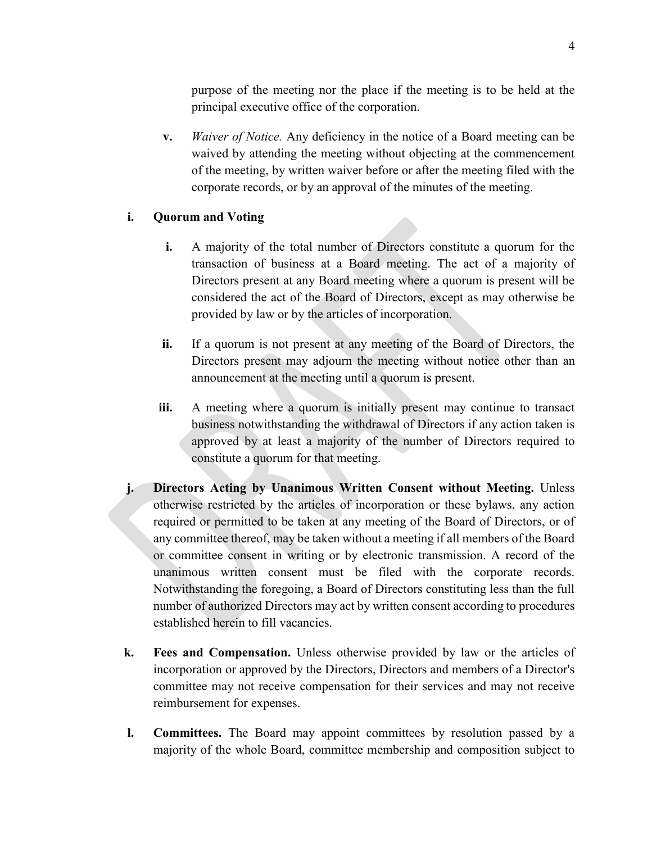purpose of the meeting nor the place if the meeting is to be held at the principal executive office of the corporation.

**v.** *Waiver of Notice.* Any deficiency in the notice of a Board meeting can be waived by attending the meeting without objecting at the commencement of the meeting, by written waiver before or after the meeting filed with the corporate records, or by an approval of the minutes of the meeting.

#### **i. Quorum and Voting**

- **i.** A majority of the total number of Directors constitute a quorum for the transaction of business at a Board meeting. The act of a majority of Directors present at any Board meeting where a quorum is present will be considered the act of the Board of Directors, except as may otherwise be provided by law or by the articles of incorporation.
- **ii.** If a quorum is not present at any meeting of the Board of Directors, the Directors present may adjourn the meeting without notice other than an announcement at the meeting until a quorum is present.
- **iii.** A meeting where a quorum is initially present may continue to transact business notwithstanding the withdrawal of Directors if any action taken is approved by at least a majority of the number of Directors required to constitute a quorum for that meeting.
- **j. Directors Acting by Unanimous Written Consent without Meeting.** Unless otherwise restricted by the articles of incorporation or these bylaws, any action required or permitted to be taken at any meeting of the Board of Directors, or of any committee thereof, may be taken without a meeting if all members of the Board or committee consent in writing or by electronic transmission. A record of the unanimous written consent must be filed with the corporate records. Notwithstanding the foregoing, a Board of Directors constituting less than the full number of authorized Directors may act by written consent according to procedures established herein to fill vacancies.
- **k. Fees and Compensation.** Unless otherwise provided by law or the articles of incorporation or approved by the Directors, Directors and members of a Director's committee may not receive compensation for their services and may not receive reimbursement for expenses.
- **l. Committees.** The Board may appoint committees by resolution passed by a majority of the whole Board, committee membership and composition subject to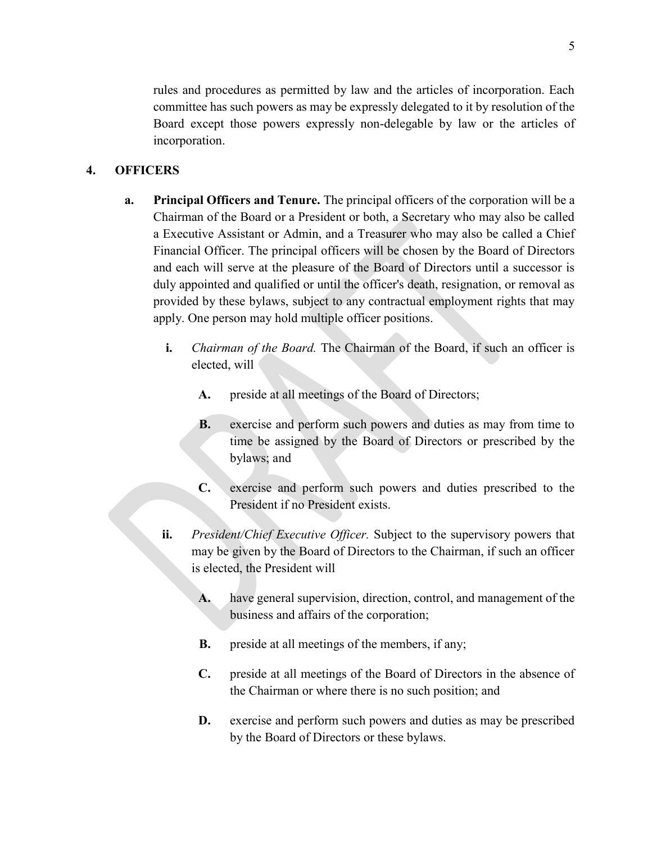rules and procedures as permitted by law and the articles of incorporation. Each committee has such powers as may be expressly delegated to it by resolution of the Board except those powers expressly non-delegable by law or the articles of incorporation.

#### **4. OFFICERS**

- **a. Principal Officers and Tenure.** The principal officers of the corporation will be a Chairman of the Board or a President or both, a Secretary who may also be called a Executive Assistant or Admin, and a Treasurer who may also be called a Chief Financial Officer. The principal officers will be chosen by the Board of Directors and each will serve at the pleasure of the Board of Directors until a successor is duly appointed and qualified or until the officer's death, resignation, or removal as provided by these bylaws, subject to any contractual employment rights that may apply. One person may hold multiple officer positions.
	- **i.** *Chairman of the Board.* The Chairman of the Board, if such an officer is elected, will
		- **A.** preside at all meetings of the Board of Directors;
		- **B.** exercise and perform such powers and duties as may from time to time be assigned by the Board of Directors or prescribed by the bylaws; and
		- **C.** exercise and perform such powers and duties prescribed to the President if no President exists.
	- **ii.** *President/Chief Executive Officer.* Subject to the supervisory powers that may be given by the Board of Directors to the Chairman, if such an officer is elected, the President will
		- **A.** have general supervision, direction, control, and management of the business and affairs of the corporation;
		- **B.** preside at all meetings of the members, if any;
		- **C.** preside at all meetings of the Board of Directors in the absence of the Chairman or where there is no such position; and
		- **D.** exercise and perform such powers and duties as may be prescribed by the Board of Directors or these bylaws.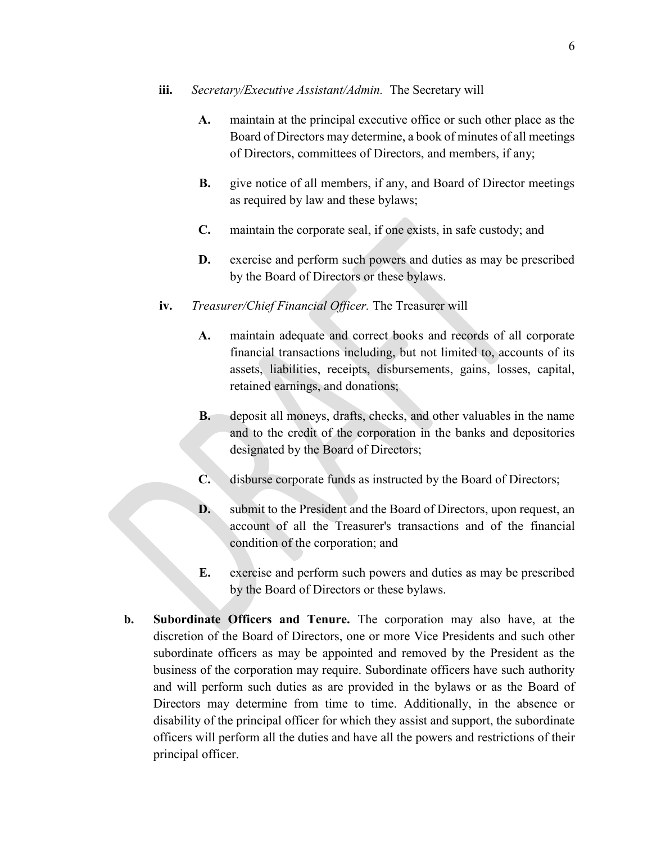#### **iii.** *Secretary/Executive Assistant/Admin.* The Secretary will

- **A.** maintain at the principal executive office or such other place as the Board of Directors may determine, a book of minutes of all meetings of Directors, committees of Directors, and members, if any;
- **B.** give notice of all members, if any, and Board of Director meetings as required by law and these bylaws;
- **C.** maintain the corporate seal, if one exists, in safe custody; and
- **D.** exercise and perform such powers and duties as may be prescribed by the Board of Directors or these bylaws.
- **iv.** *Treasurer/Chief Financial Officer.* The Treasurer will
	- **A.** maintain adequate and correct books and records of all corporate financial transactions including, but not limited to, accounts of its assets, liabilities, receipts, disbursements, gains, losses, capital, retained earnings, and donations;
	- **B.** deposit all moneys, drafts, checks, and other valuables in the name and to the credit of the corporation in the banks and depositories designated by the Board of Directors;
	- **C.** disburse corporate funds as instructed by the Board of Directors;
	- **D.** submit to the President and the Board of Directors, upon request, an account of all the Treasurer's transactions and of the financial condition of the corporation; and
	- **E.** exercise and perform such powers and duties as may be prescribed by the Board of Directors or these bylaws.
- **b. Subordinate Officers and Tenure.** The corporation may also have, at the discretion of the Board of Directors, one or more Vice Presidents and such other subordinate officers as may be appointed and removed by the President as the business of the corporation may require. Subordinate officers have such authority and will perform such duties as are provided in the bylaws or as the Board of Directors may determine from time to time. Additionally, in the absence or disability of the principal officer for which they assist and support, the subordinate officers will perform all the duties and have all the powers and restrictions of their principal officer.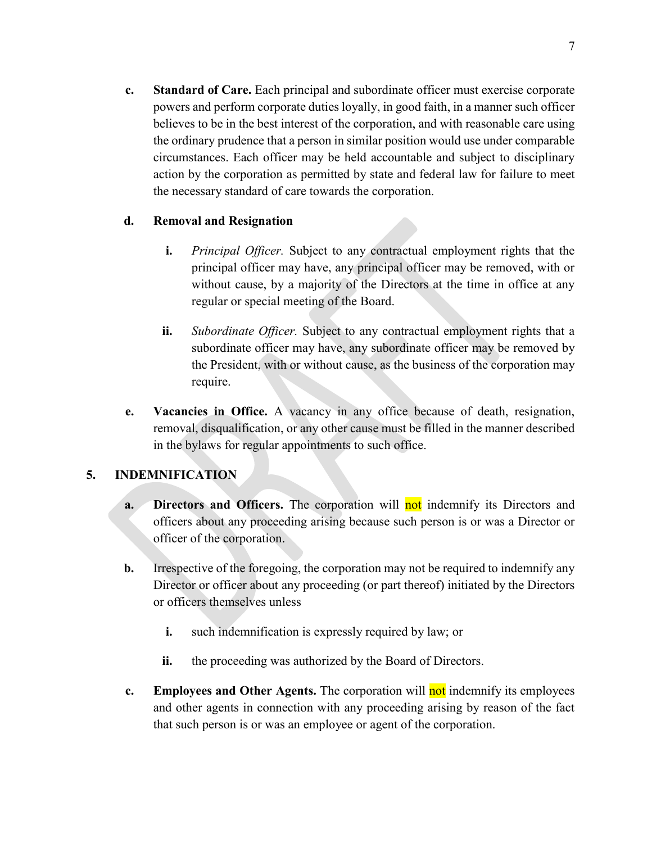**c. Standard of Care.** Each principal and subordinate officer must exercise corporate powers and perform corporate duties loyally, in good faith, in a manner such officer believes to be in the best interest of the corporation, and with reasonable care using the ordinary prudence that a person in similar position would use under comparable circumstances. Each officer may be held accountable and subject to disciplinary action by the corporation as permitted by state and federal law for failure to meet the necessary standard of care towards the corporation.

#### **d. Removal and Resignation**

- **i.** *Principal Officer.* Subject to any contractual employment rights that the principal officer may have, any principal officer may be removed, with or without cause, by a majority of the Directors at the time in office at any regular or special meeting of the Board.
- **ii.** *Subordinate Officer.* Subject to any contractual employment rights that a subordinate officer may have, any subordinate officer may be removed by the President, with or without cause, as the business of the corporation may require.
- **e. Vacancies in Office.** A vacancy in any office because of death, resignation, removal, disqualification, or any other cause must be filled in the manner described in the bylaws for regular appointments to such office.

#### **5. INDEMNIFICATION**

- **a. Directors and Officers.** The corporation will not indemnify its Directors and officers about any proceeding arising because such person is or was a Director or officer of the corporation.
- **b.** Irrespective of the foregoing, the corporation may not be required to indemnify any Director or officer about any proceeding (or part thereof) initiated by the Directors or officers themselves unless
	- **i.** such indemnification is expressly required by law; or
	- **ii.** the proceeding was authorized by the Board of Directors.
- **c. Employees and Other Agents.** The corporation will not indemnify its employees and other agents in connection with any proceeding arising by reason of the fact that such person is or was an employee or agent of the corporation.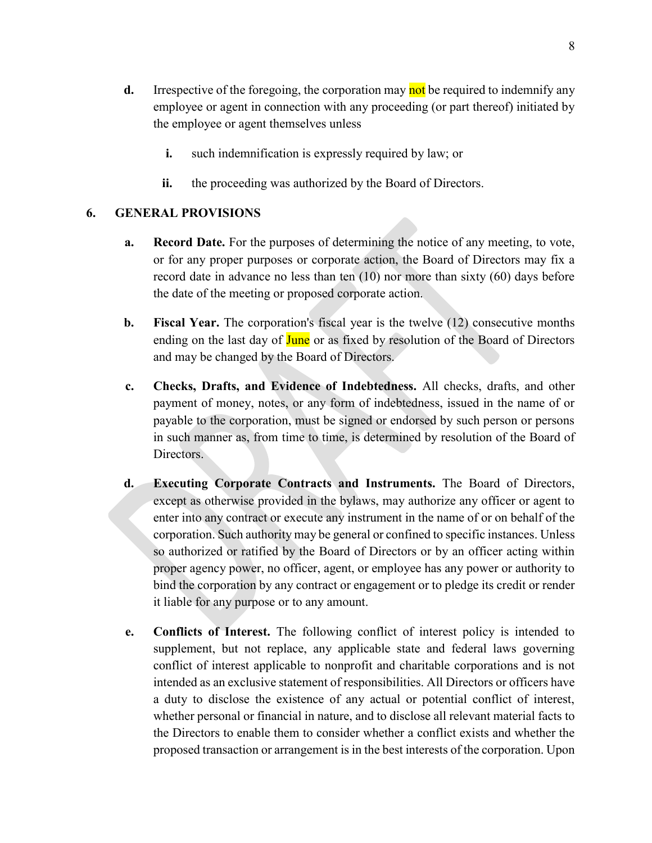- **d.** Irrespective of the foregoing, the corporation may not be required to indemnify any employee or agent in connection with any proceeding (or part thereof) initiated by the employee or agent themselves unless
	- **i.** such indemnification is expressly required by law; or
	- **ii.** the proceeding was authorized by the Board of Directors.

#### **6. GENERAL PROVISIONS**

- **a. Record Date.** For the purposes of determining the notice of any meeting, to vote, or for any proper purposes or corporate action, the Board of Directors may fix a record date in advance no less than ten (10) nor more than sixty (60) days before the date of the meeting or proposed corporate action.
- **b. Fiscal Year.** The corporation's fiscal year is the twelve (12) consecutive months ending on the last day of June or as fixed by resolution of the Board of Directors and may be changed by the Board of Directors.
- **c. Checks, Drafts, and Evidence of Indebtedness.** All checks, drafts, and other payment of money, notes, or any form of indebtedness, issued in the name of or payable to the corporation, must be signed or endorsed by such person or persons in such manner as, from time to time, is determined by resolution of the Board of Directors.
- **d. Executing Corporate Contracts and Instruments.** The Board of Directors, except as otherwise provided in the bylaws, may authorize any officer or agent to enter into any contract or execute any instrument in the name of or on behalf of the corporation. Such authority may be general or confined to specific instances. Unless so authorized or ratified by the Board of Directors or by an officer acting within proper agency power, no officer, agent, or employee has any power or authority to bind the corporation by any contract or engagement or to pledge its credit or render it liable for any purpose or to any amount.
- **e. Conflicts of Interest.** The following conflict of interest policy is intended to supplement, but not replace, any applicable state and federal laws governing conflict of interest applicable to nonprofit and charitable corporations and is not intended as an exclusive statement of responsibilities. All Directors or officers have a duty to disclose the existence of any actual or potential conflict of interest, whether personal or financial in nature, and to disclose all relevant material facts to the Directors to enable them to consider whether a conflict exists and whether the proposed transaction or arrangement is in the best interests of the corporation. Upon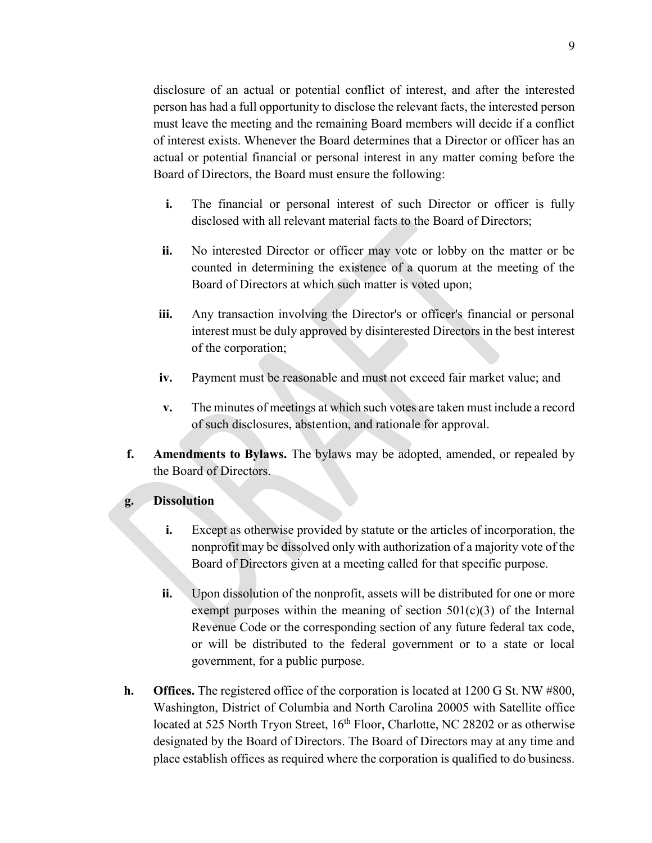disclosure of an actual or potential conflict of interest, and after the interested person has had a full opportunity to disclose the relevant facts, the interested person must leave the meeting and the remaining Board members will decide if a conflict of interest exists. Whenever the Board determines that a Director or officer has an actual or potential financial or personal interest in any matter coming before the Board of Directors, the Board must ensure the following:

- **i.** The financial or personal interest of such Director or officer is fully disclosed with all relevant material facts to the Board of Directors;
- **ii.** No interested Director or officer may vote or lobby on the matter or be counted in determining the existence of a quorum at the meeting of the Board of Directors at which such matter is voted upon;
- **iii.** Any transaction involving the Director's or officer's financial or personal interest must be duly approved by disinterested Directors in the best interest of the corporation;
- **iv.** Payment must be reasonable and must not exceed fair market value; and
- **v.** The minutes of meetings at which such votes are taken must include a record of such disclosures, abstention, and rationale for approval.
- **f. Amendments to Bylaws.** The bylaws may be adopted, amended, or repealed by the Board of Directors.

#### **g. Dissolution**

- **i.** Except as otherwise provided by statute or the articles of incorporation, the nonprofit may be dissolved only with authorization of a majority vote of the Board of Directors given at a meeting called for that specific purpose.
- **ii.** Upon dissolution of the nonprofit, assets will be distributed for one or more exempt purposes within the meaning of section  $501(c)(3)$  of the Internal Revenue Code or the corresponding section of any future federal tax code, or will be distributed to the federal government or to a state or local government, for a public purpose.
- **h. Offices.** The registered office of the corporation is located at 1200 G St. NW #800, Washington, District of Columbia and North Carolina 20005 with Satellite office located at 525 North Tryon Street, 16<sup>th</sup> Floor, Charlotte, NC 28202 or as otherwise designated by the Board of Directors. The Board of Directors may at any time and place establish offices as required where the corporation is qualified to do business.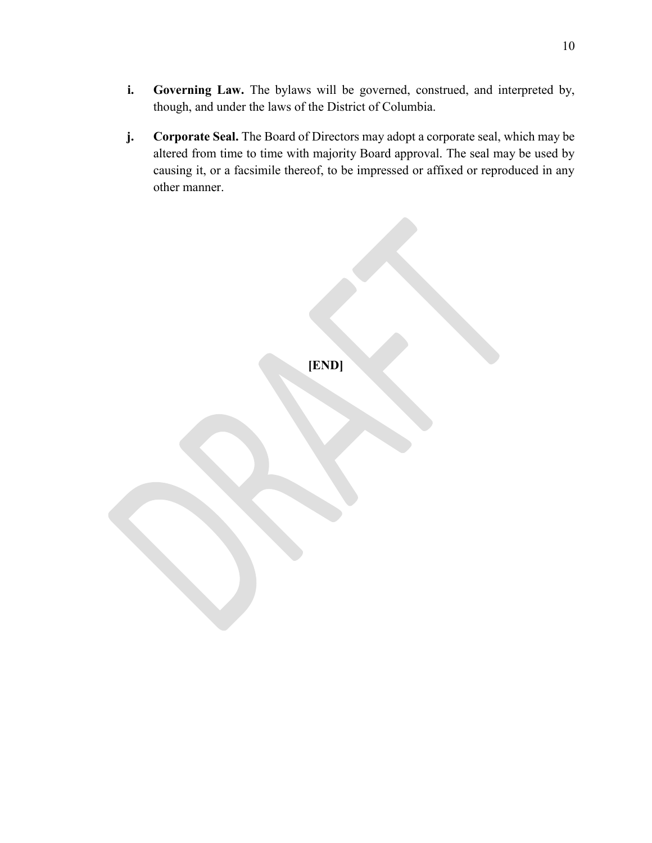- **i. Governing Law.** The bylaws will be governed, construed, and interpreted by, though, and under the laws of the District of Columbia.
- **j. Corporate Seal.** The Board of Directors may adopt a corporate seal, which may be altered from time to time with majority Board approval. The seal may be used by causing it, or a facsimile thereof, to be impressed or affixed or reproduced in any other manner.

**[END]**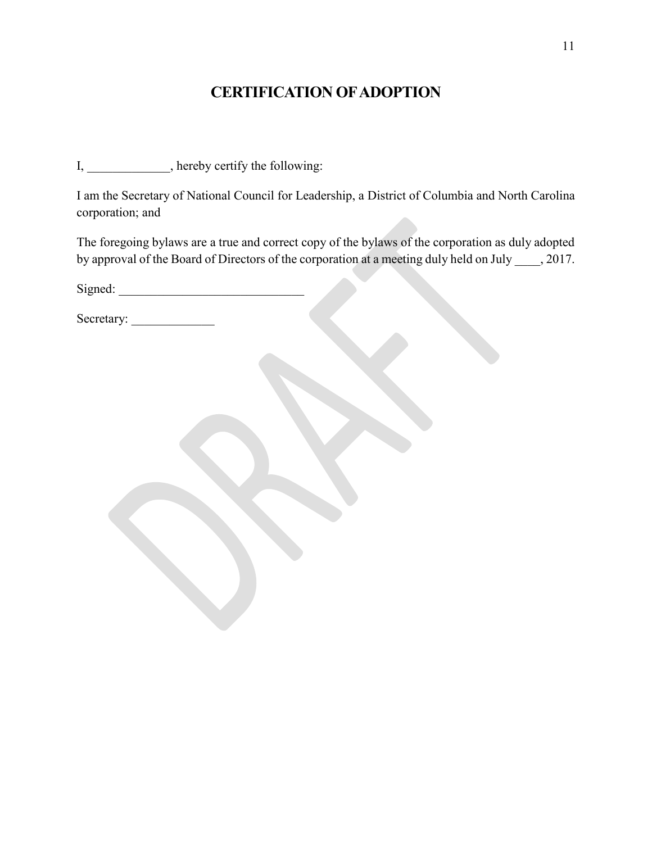## **CERTIFICATION OF ADOPTION**

I, \_\_\_\_\_\_\_\_\_\_\_, hereby certify the following:

I am the Secretary of National Council for Leadership, a District of Columbia and North Carolina corporation; and

The foregoing bylaws are a true and correct copy of the bylaws of the corporation as duly adopted by approval of the Board of Directors of the corporation at a meeting duly held on July \_\_\_\_, 2017.

| Signed: |  |
|---------|--|
|         |  |
|         |  |

Secretary: